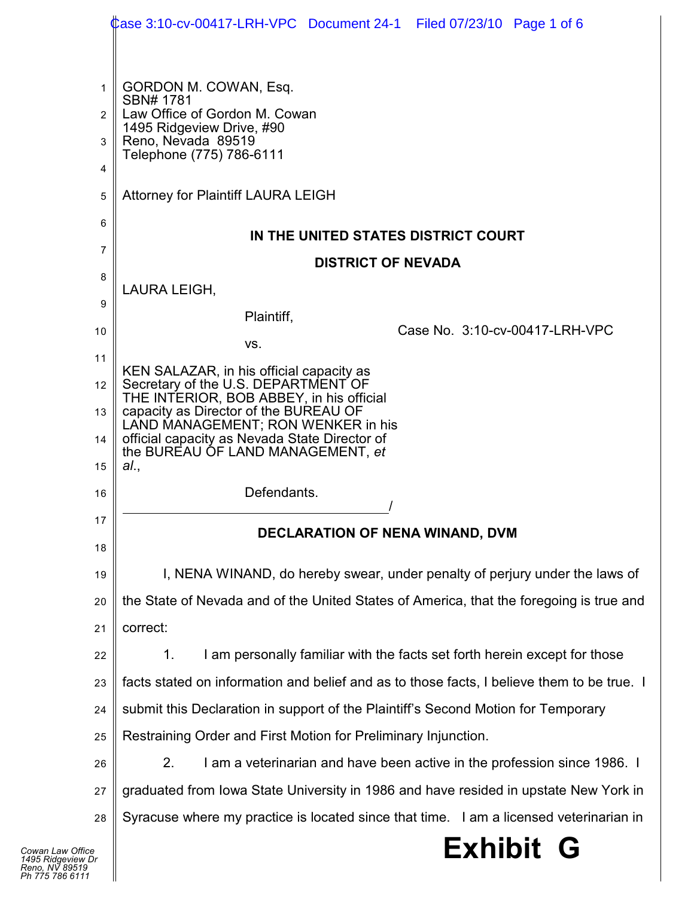|                | Case 3:10-cv-00417-LRH-VPC Document 24-1  Filed 07/23/10  Page 1 of 6                      |  |  |
|----------------|--------------------------------------------------------------------------------------------|--|--|
|                |                                                                                            |  |  |
| 1              | GORDON M. COWAN, Esq.<br>SBN# 1781                                                         |  |  |
| $\mathfrak{p}$ | Law Office of Gordon M. Cowan<br>1495 Ridgeview Drive, #90                                 |  |  |
| 3              | Reno, Nevada 89519<br>Telephone (775) 786-6111                                             |  |  |
| 4              |                                                                                            |  |  |
| 5              | <b>Attorney for Plaintiff LAURA LEIGH</b>                                                  |  |  |
| 6              | IN THE UNITED STATES DISTRICT COURT                                                        |  |  |
| 7              | <b>DISTRICT OF NEVADA</b>                                                                  |  |  |
| 8              | LAURA LEIGH,                                                                               |  |  |
| 9              | Plaintiff,                                                                                 |  |  |
| 10             | Case No. 3:10-cv-00417-LRH-VPC<br>VS.                                                      |  |  |
| 11             | KEN SALAZAR, in his official capacity as                                                   |  |  |
| 12             | Secretary of the U.S. DEPARTMENT OF<br>THE INTERIOR, BOB ABBEY, in his official            |  |  |
| 13             | capacity as Director of the BUREAU OF<br>LAND MANAGEMENT; RON WENKER in his                |  |  |
| 14             | official capacity as Nevada State Director of<br>the BUREAU OF LAND MANAGEMENT, et         |  |  |
| 15             | al.,                                                                                       |  |  |
| 16             | Defendants.                                                                                |  |  |
| 17             | <b>DECLARATION OF NENA WINAND, DVM</b>                                                     |  |  |
| 18             |                                                                                            |  |  |
| 19             | I, NENA WINAND, do hereby swear, under penalty of perjury under the laws of                |  |  |
| 20             | the State of Nevada and of the United States of America, that the foregoing is true and    |  |  |
| 21             | correct:                                                                                   |  |  |
| 22             | I am personally familiar with the facts set forth herein except for those<br>1.            |  |  |
| 23             | facts stated on information and belief and as to those facts, I believe them to be true. I |  |  |
| 24             | submit this Declaration in support of the Plaintiff's Second Motion for Temporary          |  |  |
| 25             | Restraining Order and First Motion for Preliminary Injunction.                             |  |  |
| 26             | I am a veterinarian and have been active in the profession since 1986. I<br>2.             |  |  |
| 27             | graduated from Iowa State University in 1986 and have resided in upstate New York in       |  |  |
| 28             | Syracuse where my practice is located since that time. I am a licensed veterinarian in     |  |  |
| ice<br>′ Dr    | <b>Exhibit G</b>                                                                           |  |  |
| 9<br>1         |                                                                                            |  |  |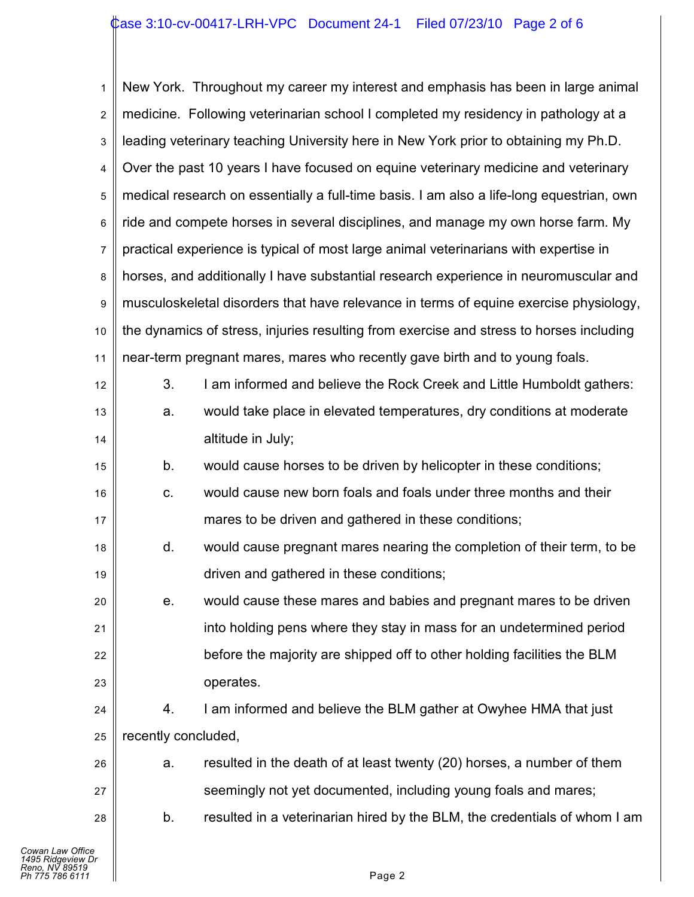| 1              |                                                                                          | New York. Throughout my career my interest and emphasis has been in large animal   |  |  |
|----------------|------------------------------------------------------------------------------------------|------------------------------------------------------------------------------------|--|--|
| $\overline{2}$ |                                                                                          | medicine. Following veterinarian school I completed my residency in pathology at a |  |  |
| 3              | leading veterinary teaching University here in New York prior to obtaining my Ph.D.      |                                                                                    |  |  |
| 4              |                                                                                          | Over the past 10 years I have focused on equine veterinary medicine and veterinary |  |  |
| 5              | medical research on essentially a full-time basis. I am also a life-long equestrian, own |                                                                                    |  |  |
| 6              | ride and compete horses in several disciplines, and manage my own horse farm. My         |                                                                                    |  |  |
| 7              | practical experience is typical of most large animal veterinarians with expertise in     |                                                                                    |  |  |
| 8              | horses, and additionally I have substantial research experience in neuromuscular and     |                                                                                    |  |  |
| 9              | musculoskeletal disorders that have relevance in terms of equine exercise physiology,    |                                                                                    |  |  |
| 10             | the dynamics of stress, injuries resulting from exercise and stress to horses including  |                                                                                    |  |  |
| 11             | near-term pregnant mares, mares who recently gave birth and to young foals.              |                                                                                    |  |  |
| 12             | 3.                                                                                       | I am informed and believe the Rock Creek and Little Humboldt gathers:              |  |  |
| 13             | a.                                                                                       | would take place in elevated temperatures, dry conditions at moderate              |  |  |
| 14             |                                                                                          | altitude in July;                                                                  |  |  |
| 15             | b.                                                                                       | would cause horses to be driven by helicopter in these conditions;                 |  |  |
| 16             | С.                                                                                       | would cause new born foals and foals under three months and their                  |  |  |
| 17             |                                                                                          | mares to be driven and gathered in these conditions;                               |  |  |
| 18             | d.                                                                                       | would cause pregnant mares nearing the completion of their term, to be             |  |  |
| 19             |                                                                                          | driven and gathered in these conditions;                                           |  |  |
| 20             | е.                                                                                       | would cause these mares and babies and pregnant mares to be driven                 |  |  |
| 21             |                                                                                          | into holding pens where they stay in mass for an undetermined period               |  |  |
| 22             |                                                                                          | before the majority are shipped off to other holding facilities the BLM            |  |  |
| 23             |                                                                                          | operates.                                                                          |  |  |
| 24             | 4.                                                                                       | I am informed and believe the BLM gather at Owyhee HMA that just                   |  |  |
| 25             | recently concluded,                                                                      |                                                                                    |  |  |
| 26             | a.                                                                                       | resulted in the death of at least twenty (20) horses, a number of them             |  |  |
| 27             |                                                                                          | seemingly not yet documented, including young foals and mares;                     |  |  |
| 28             | b.                                                                                       | resulted in a veterinarian hired by the BLM, the credentials of whom I am          |  |  |
|                |                                                                                          |                                                                                    |  |  |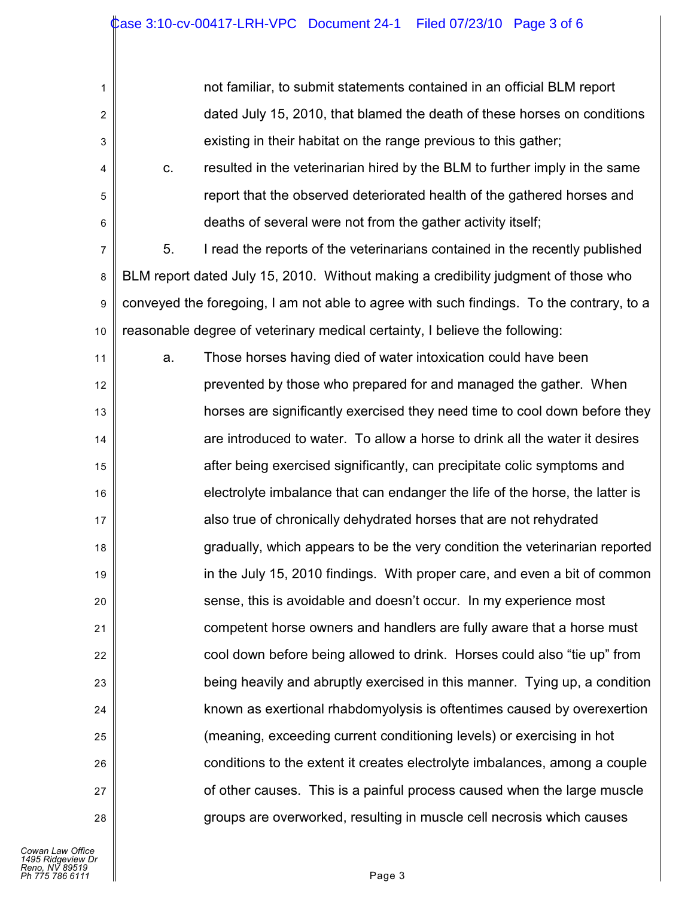| not familiar, to submit statements contained in an official BLM report   |
|--------------------------------------------------------------------------|
| dated July 15, 2010, that blamed the death of these horses on conditions |
| existing in their habitat on the range previous to this gather;          |

4 5 6 c. resulted in the veterinarian hired by the BLM to further imply in the same report that the observed deteriorated health of the gathered horses and deaths of several were not from the gather activity itself;

7 8 9 10 5. I read the reports of the veterinarians contained in the recently published BLM report dated July 15, 2010. Without making a credibility judgment of those who conveyed the foregoing, I am not able to agree with such findings. To the contrary, to a reasonable degree of veterinary medical certainty, I believe the following:

11 12 13 14 15 16 17 18 19 20 21 22 23 24 25 26 27 28 a. Those horses having died of water intoxication could have been prevented by those who prepared for and managed the gather. When horses are significantly exercised they need time to cool down before they are introduced to water. To allow a horse to drink all the water it desires after being exercised significantly, can precipitate colic symptoms and electrolyte imbalance that can endanger the life of the horse, the latter is also true of chronically dehydrated horses that are not rehydrated gradually, which appears to be the very condition the veterinarian reported in the July 15, 2010 findings. With proper care, and even a bit of common sense, this is avoidable and doesn't occur. In my experience most competent horse owners and handlers are fully aware that a horse must cool down before being allowed to drink. Horses could also "tie up" from being heavily and abruptly exercised in this manner. Tying up, a condition known as exertional rhabdomyolysis is oftentimes caused by overexertion (meaning, exceeding current conditioning levels) or exercising in hot conditions to the extent it creates electrolyte imbalances, among a couple of other causes. This is a painful process caused when the large muscle groups are overworked, resulting in muscle cell necrosis which causes

1

2

3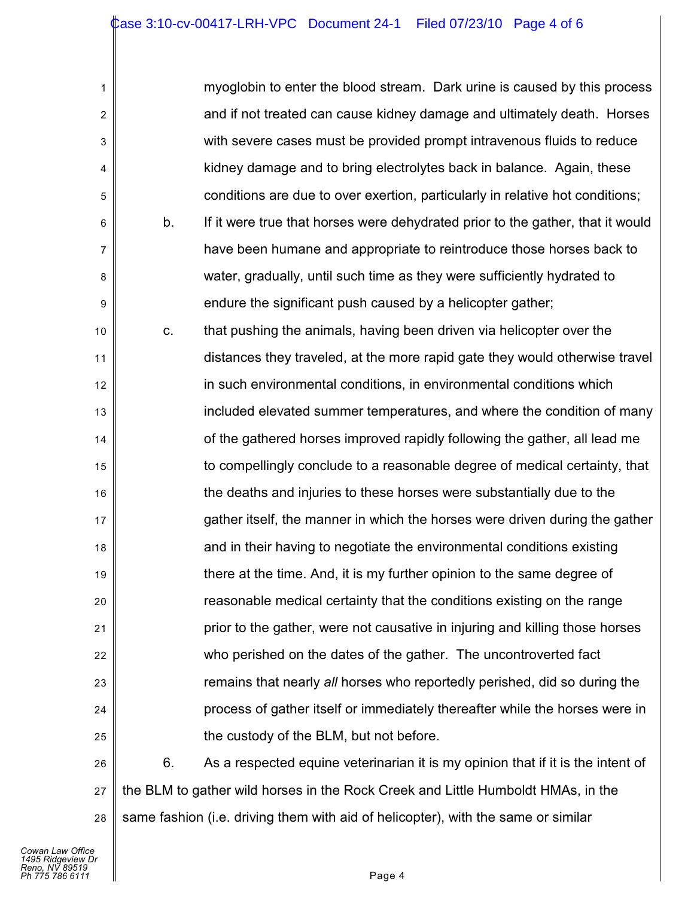| 1                         |    | myoglobin to enter the blood stream. Dark urine is caused by this process       |
|---------------------------|----|---------------------------------------------------------------------------------|
| $\boldsymbol{2}$          |    | and if not treated can cause kidney damage and ultimately death. Horses         |
| $\ensuremath{\mathsf{3}}$ |    | with severe cases must be provided prompt intravenous fluids to reduce          |
| 4                         |    | kidney damage and to bring electrolytes back in balance. Again, these           |
| 5                         |    | conditions are due to over exertion, particularly in relative hot conditions;   |
| 6                         | b. | If it were true that horses were dehydrated prior to the gather, that it would  |
| 7                         |    | have been humane and appropriate to reintroduce those horses back to            |
| 8                         |    | water, gradually, until such time as they were sufficiently hydrated to         |
| 9                         |    | endure the significant push caused by a helicopter gather;                      |
| 10                        | C. | that pushing the animals, having been driven via helicopter over the            |
| 11                        |    | distances they traveled, at the more rapid gate they would otherwise travel     |
| 12                        |    | in such environmental conditions, in environmental conditions which             |
| 13                        |    | included elevated summer temperatures, and where the condition of many          |
| 14                        |    | of the gathered horses improved rapidly following the gather, all lead me       |
| 15                        |    | to compellingly conclude to a reasonable degree of medical certainty, that      |
| 16                        |    | the deaths and injuries to these horses were substantially due to the           |
| 17                        |    | gather itself, the manner in which the horses were driven during the gather     |
| 18                        |    | and in their having to negotiate the environmental conditions existing          |
| 19                        |    | there at the time. And, it is my further opinion to the same degree of          |
| 20                        |    | reasonable medical certainty that the conditions existing on the range          |
| 21                        |    | prior to the gather, were not causative in injuring and killing those horses    |
| 22                        |    | who perished on the dates of the gather. The uncontroverted fact                |
| 23                        |    | remains that nearly all horses who reportedly perished, did so during the       |
| 24                        |    | process of gather itself or immediately thereafter while the horses were in     |
| 25                        |    | the custody of the BLM, but not before.                                         |
| 26                        | 6. | As a respected equine veterinarian it is my opinion that if it is the intent of |

27 28 the BLM to gather wild horses in the Rock Creek and Little Humboldt HMAs, in the same fashion (i.e. driving them with aid of helicopter), with the same or similar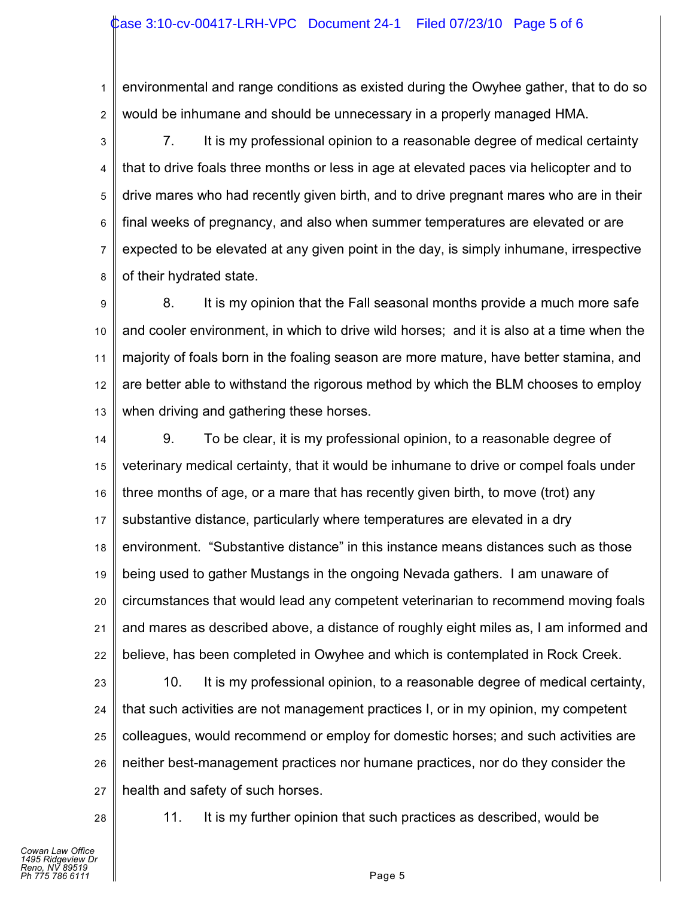1 2 environmental and range conditions as existed during the Owyhee gather, that to do so would be inhumane and should be unnecessary in a properly managed HMA.

3 4 5 6 7 8 7. It is my professional opinion to a reasonable degree of medical certainty that to drive foals three months or less in age at elevated paces via helicopter and to drive mares who had recently given birth, and to drive pregnant mares who are in their final weeks of pregnancy, and also when summer temperatures are elevated or are expected to be elevated at any given point in the day, is simply inhumane, irrespective of their hydrated state.

9 10 11 12 13 8. It is my opinion that the Fall seasonal months provide a much more safe and cooler environment, in which to drive wild horses; and it is also at a time when the majority of foals born in the foaling season are more mature, have better stamina, and are better able to withstand the rigorous method by which the BLM chooses to employ when driving and gathering these horses.

14 15 16 17 18 19 20 21 22 9. To be clear, it is my professional opinion, to a reasonable degree of veterinary medical certainty, that it would be inhumane to drive or compel foals under three months of age, or a mare that has recently given birth, to move (trot) any substantive distance, particularly where temperatures are elevated in a dry environment. "Substantive distance" in this instance means distances such as those being used to gather Mustangs in the ongoing Nevada gathers. I am unaware of circumstances that would lead any competent veterinarian to recommend moving foals and mares as described above, a distance of roughly eight miles as, I am informed and believe, has been completed in Owyhee and which is contemplated in Rock Creek.

23

24

25

26

27

10. It is my professional opinion, to a reasonable degree of medical certainty, that such activities are not management practices I, or in my opinion, my competent colleagues, would recommend or employ for domestic horses; and such activities are neither best-management practices nor humane practices, nor do they consider the health and safety of such horses.

28

11. It is my further opinion that such practices as described, would be